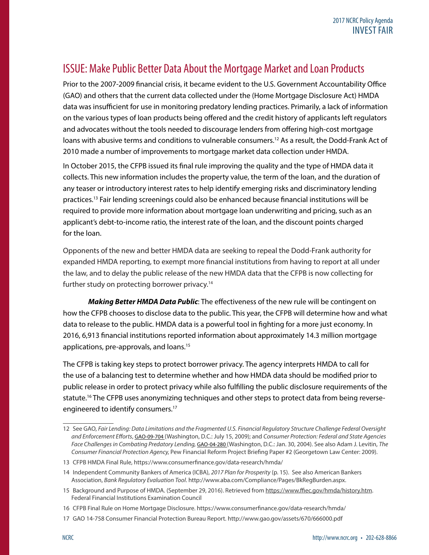## ISSUE: Make Public Better Data About the Mortgage Market and Loan Products

Prior to the 2007-2009 financial crisis, it became evident to the U.S. Government Accountability Office (GAO) and others that the current data collected under the (Home Mortgage Disclosure Act) HMDA data was insufficient for use in monitoring predatory lending practices. Primarily, a lack of information on the various types of loan products being offered and the credit history of applicants left regulators and advocates without the tools needed to discourage lenders from offering high-cost mortgage loans with abusive terms and conditions to vulnerable consumers.<sup>12</sup> As a result, the Dodd-Frank Act of 2010 made a number of improvements to mortgage market data collection under HMDA.

In October 2015, the CFPB issued its final rule improving the quality and the type of HMDA data it collects. This new information includes the property value, the term of the loan, and the duration of any teaser or introductory interest rates to help identify emerging risks and discriminatory lending practices.13 Fair lending screenings could also be enhanced because financial institutions will be required to provide more information about mortgage loan underwriting and pricing, such as an applicant's debt-to-income ratio, the interest rate of the loan, and the discount points charged for the loan.

Opponents of the new and better HMDA data are seeking to repeal the Dodd-Frank authority for expanded HMDA reporting, to exempt more financial institutions from having to report at all under the law, and to delay the public release of the new HMDA data that the CFPB is now collecting for further study on protecting borrower privacy.<sup>14</sup>

*Making Better HMDA Data Public*: The effectiveness of the new rule will be contingent on how the CFPB chooses to disclose data to the public. This year, the CFPB will determine how and what data to release to the public. HMDA data is a powerful tool in fighting for a more just economy. In 2016, 6,913 financial institutions reported information about approximately 14.3 million mortgage applications, pre-approvals, and loans.<sup>15</sup>

The CFPB is taking key steps to protect borrower privacy. The agency interprets HMDA to call for the use of a balancing test to determine whether and how HMDA data should be modified prior to public release in order to protect privacy while also fulfilling the public disclosure requirements of the statute.<sup>16</sup> The CFPB uses anonymizing techniques and other steps to protect data from being reverseengineered to identify consumers.<sup>17</sup>

<sup>12</sup> See GAO, *Fair Lending: Data Limitations and the Fragmented U.S. Financial Regulatory Structure Challenge Federal Oversight and Enforcement Efforts*, GAO-09-704 (Washington, D.C.: July 15, 2009); and *Consumer Protection: Federal and State Agencies Face Challenges in Combating Predatory Lending,* GAO-04-280 (Washington, D.C.: Jan. 30, 2004). See also Adam J. Levitin, *The Consumer Financial Protection Agency,* Pew Financial Reform Project Briefing Paper #2 (Georgetown Law Center: 2009).

<sup>13</sup> CFPB HMDA Final Rule, https://www.consumerfinance.gov/data-research/hmda/

<sup>14</sup> Independent Community Bankers of America (ICBA), *2017 Plan for Prosperity* (p. 15). See also American Bankers Association, *Bank Regulatory Evaluation Tool*. http://www.aba.com/Compliance/Pages/BkRegBurden.aspx.

<sup>15</sup> Background and Purpose of HMDA. (September 29, 2016). Retrieved from<https://www.ffiec.gov/hmda/history.htm>. Federal Financial Institutions Examination Council

<sup>16</sup> CFPB Final Rule on Home Mortgage Disclosure. https://www.consumerfinance.gov/data-research/hmda/

<sup>17</sup> GAO 14-758 Consumer Financial Protection Bureau Report. http://www.gao.gov/assets/670/666000.pdf